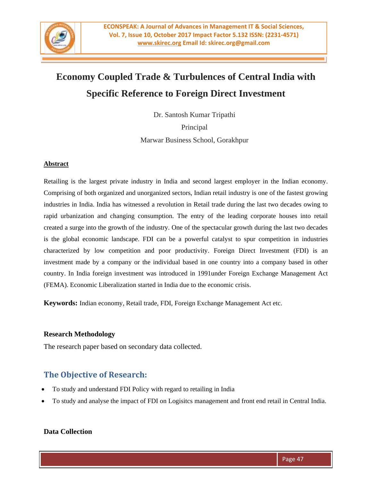

# **Economy Coupled Trade & Turbulences of Central India with Specific Reference to Foreign Direct Investment**

Dr. Santosh Kumar Tripathi

Principal

Marwar Business School, Gorakhpur

#### **Abstract**

Retailing is the largest private industry in India and second largest employer in the Indian economy. Comprising of both organized and unorganized sectors, Indian retail industry is one of the fastest growing industries in India. India has witnessed a revolution in Retail trade during the last two decades owing to rapid urbanization and changing consumption. The entry of the leading corporate houses into retail created a surge into the growth of the industry. One of the spectacular growth during the last two decades is the global economic landscape. FDI can be a powerful catalyst to spur competition in industries characterized by low competition and poor productivity. Foreign Direct Investment (FDI) is an investment made by a company or the individual based in one country into a company based in other country. In India foreign investment was introduced in 1991under Foreign Exchange Management Act (FEMA). Economic Liberalization started in India due to the economic crisis.

**Keywords:** Indian economy, Retail trade, FDI, Foreign Exchange Management Act etc.

## **Research Methodology**

The research paper based on secondary data collected.

# **The Objective of Research:**

- To study and understand FDI Policy with regard to retailing in India
- To study and analyse the impact of FDI on Logisitcs management and front end retail in Central India.

## **Data Collection**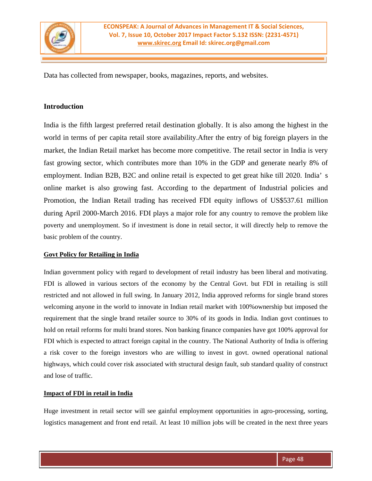

Data has collected from newspaper, books, magazines, reports, and websites.

# **Introduction**

India is the fifth largest preferred retail destination globally. It is also among the highest in the world in terms of per capita retail store availability.After the entry of big foreign players in the market, the Indian Retail market has become more competitive. The retail sector in India is very fast growing sector, which contributes more than 10% in the GDP and generate nearly 8% of employment. Indian B2B, B2C and online retail is expected to get great hike till 2020. India' s online market is also growing fast. According to the department of Industrial policies and Promotion, the Indian Retail trading has received FDI equity inflows of US\$537.61 million during April 2000-March 2016. FDI plays a major role for any country to remove the problem like poverty and unemployment. So if investment is done in retail sector, it will directly help to remove the basic problem of the country.

#### **Govt Policy for Retailing in India**

Indian government policy with regard to development of retail industry has been liberal and motivating. FDI is allowed in various sectors of the economy by the Central Govt. but FDI in retailing is still restricted and not allowed in full swing. In January 2012, India approved reforms for single brand stores welcoming anyone in the world to innovate in Indian retail market with 100%ownership but imposed the requirement that the single brand retailer source to 30% of its goods in India. Indian govt continues to hold on retail reforms for multi brand stores. Non banking finance companies have got 100% approval for FDI which is expected to attract foreign capital in the country. The National Authority of India is offering a risk cover to the foreign investors who are willing to invest in govt. owned operational national highways, which could cover risk associated with structural design fault, sub standard quality of construct and lose of traffic.

#### **Impact of FDI in retail in India**

Huge investment in retail sector will see gainful employment opportunities in agro-processing, sorting, logistics management and front end retail. At least 10 million jobs will be created in the next three years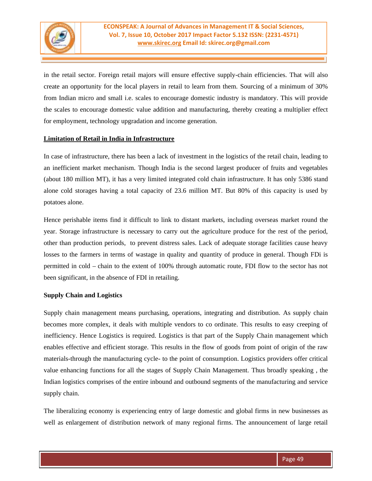

in the retail sector. Foreign retail majors will ensure effective supply-chain efficiencies. That will also create an opportunity for the local players in retail to learn from them. Sourcing of a minimum of 30% from Indian micro and small i.e. scales to encourage domestic industry is mandatory. This will provide the scales to encourage domestic value addition and manufacturing, thereby creating a multiplier effect for employment, technology upgradation and income generation.

#### **Limitation of Retail in India in Infrastructure**

In case of infrastructure, there has been a lack of investment in the logistics of the retail chain, leading to an inefficient market mechanism. Though India is the second largest producer of fruits and vegetables (about 180 million MT), it has a very limited integrated cold chain infrastructure. It has only 5386 stand alone cold storages having a total capacity of 23.6 million MT. But 80% of this capacity is used by potatoes alone.

Hence perishable items find it difficult to link to distant markets, including overseas market round the year. Storage infrastructure is necessary to carry out the agriculture produce for the rest of the period, other than production periods, to prevent distress sales. Lack of adequate storage facilities cause heavy losses to the farmers in terms of wastage in quality and quantity of produce in general. Though FDi is permitted in cold – chain to the extent of 100% through automatic route, FDI flow to the sector has not been significant, in the absence of FDI in retailing.

#### **Supply Chain and Logistics**

Supply chain management means purchasing, operations, integrating and distribution. As supply chain becomes more complex, it deals with multiple vendors to co ordinate. This results to easy creeping of inefficiency. Hence Logistics is required. Logistics is that part of the Supply Chain management which enables effective and efficient storage. This results in the flow of goods from point of origin of the raw materials-through the manufacturing cycle- to the point of consumption. Logistics providers offer critical value enhancing functions for all the stages of Supply Chain Management. Thus broadly speaking , the Indian logistics comprises of the entire inbound and outbound segments of the manufacturing and service supply chain.

The liberalizing economy is experiencing entry of large domestic and global firms in new businesses as well as enlargement of distribution network of many regional firms. The announcement of large retail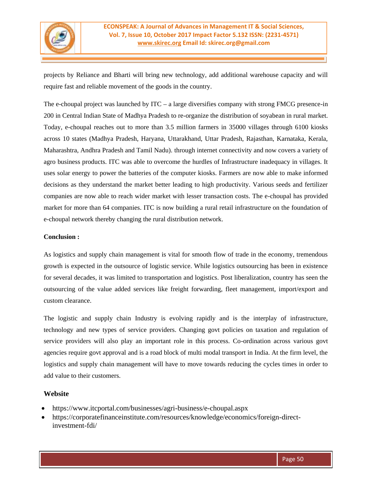

projects by Reliance and Bharti will bring new technology, add additional warehouse capacity and will require fast and reliable movement of the goods in the country.

The e-choupal project was launched by  $ITC - a$  large diversifies company with strong FMCG presence-in 200 in Central Indian State of Madhya Pradesh to re-organize the distribution of soyabean in rural market. Today, e-choupal reaches out to more than 3.5 million farmers in 35000 villages through 6100 kiosks across 10 states (Madhya Pradesh, Haryana, Uttarakhand, Uttar Pradesh, Rajasthan, Karnataka, Kerala, Maharashtra, Andhra Pradesh and Tamil Nadu). through internet connectivity and now covers a variety of agro business products. ITC was able to overcome the hurdles of Infrastructure inadequacy in villages. It uses solar energy to power the batteries of the computer kiosks. Farmers are now able to make informed decisions as they understand the market better leading to high productivity. Various seeds and fertilizer companies are now able to reach wider market with lesser transaction costs. The e-choupal has provided market for more than 64 companies. ITC is now building a rural retail infrastructure on the foundation of e-choupal network thereby changing the rural distribution network.

#### **Conclusion :**

As logistics and supply chain management is vital for smooth flow of trade in the economy, tremendous growth is expected in the outsource of logistic service. While logistics outsourcing has been in existence for several decades, it was limited to transportation and logistics. Post liberalization, country has seen the outsourcing of the value added services like freight forwarding, fleet management, import/export and custom clearance.

The logistic and supply chain Industry is evolving rapidly and is the interplay of infrastructure, technology and new types of service providers. Changing govt policies on taxation and regulation of service providers will also play an important role in this process. Co-ordination across various govt agencies require govt approval and is a road block of multi modal transport in India. At the firm level, the logistics and supply chain management will have to move towards reducing the cycles times in order to add value to their customers.

## **Website**

- https://www.itcportal.com/businesses/agri-business/e-choupal.aspx
- https://corporatefinanceinstitute.com/resources/knowledge/economics/foreign-directinvestment-fdi/